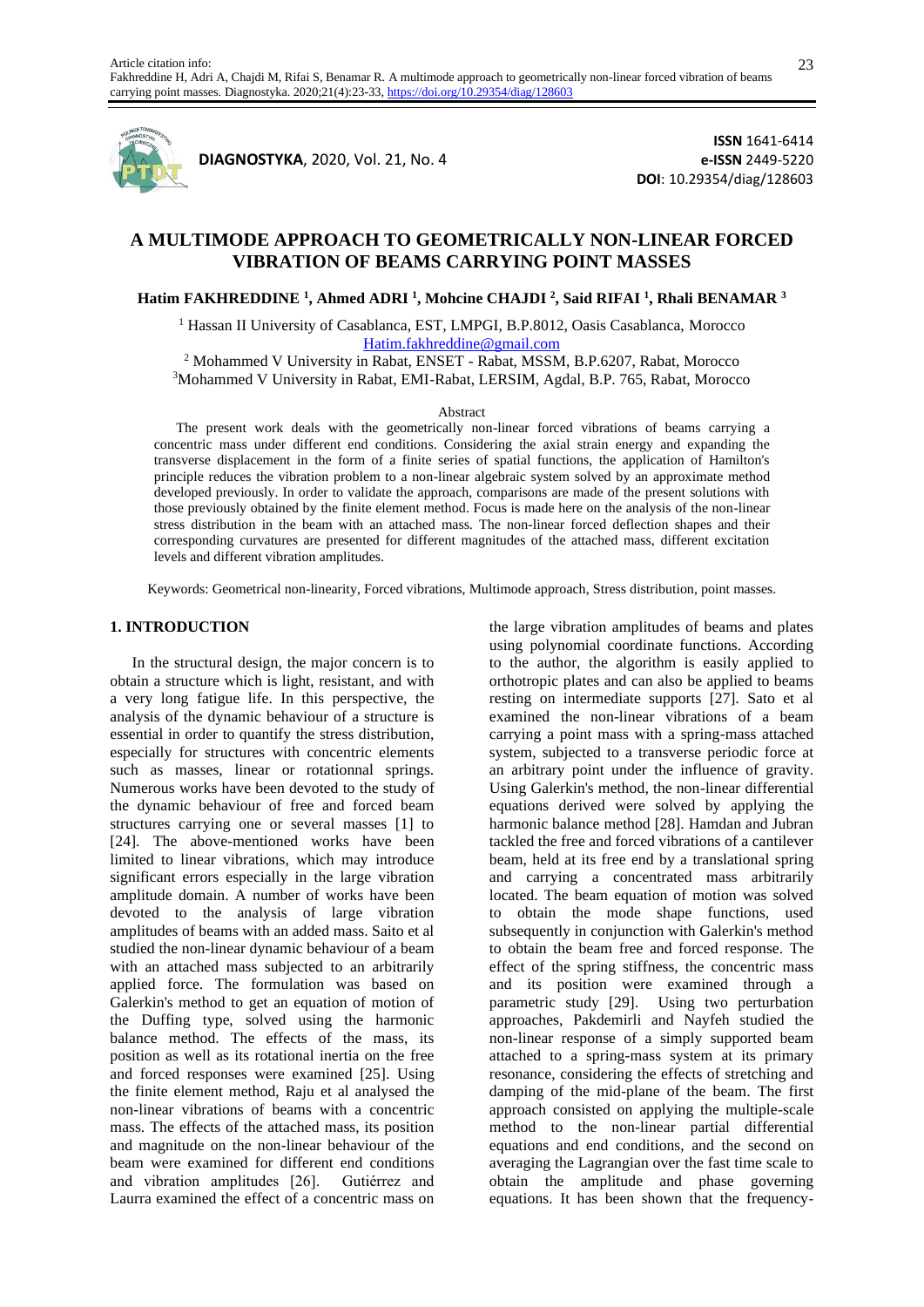

**DIAGNOSTYKA**, 2020, Vol. 21, No. 4

**ISSN** 1641-6414 **e-ISSN** 2449-5220 **DOI**: 10.29354/diag/128603

# **A MULTIMODE APPROACH TO GEOMETRICALLY NON-LINEAR FORCED VIBRATION OF BEAMS CARRYING POINT MASSES**

## **Hatim FAKHREDDINE <sup>1</sup> , Ahmed ADRI <sup>1</sup> , Mohcine CHAJDI <sup>2</sup> , Said RIFAI <sup>1</sup> , Rhali BENAMAR <sup>3</sup>**

<sup>1</sup> Hassan II University of Casablanca, EST, LMPGI, B.P.8012, Oasis Casablanca, Morocco [Hatim.fakhreddine@gmail.com](mailto:Hatim.fakhreddine@gmail.com)

<sup>2</sup> Mohammed V University in Rabat, ENSET - Rabat, MSSM, B.P.6207, Rabat, Morocco <sup>3</sup>Mohammed V University in Rabat, EMI-Rabat, LERSIM, Agdal, B.P. 765, Rabat, Morocco

### Abstract

The present work deals with the geometrically non-linear forced vibrations of beams carrying a concentric mass under different end conditions. Considering the axial strain energy and expanding the transverse displacement in the form of a finite series of spatial functions, the application of Hamilton's principle reduces the vibration problem to a non-linear algebraic system solved by an approximate method developed previously. In order to validate the approach, comparisons are made of the present solutions with those previously obtained by the finite element method. Focus is made here on the analysis of the non-linear stress distribution in the beam with an attached mass. The non-linear forced deflection shapes and their corresponding curvatures are presented for different magnitudes of the attached mass, different excitation levels and different vibration amplitudes.

Keywords: Geometrical non-linearity, Forced vibrations, Multimode approach, Stress distribution, point masses.

### **1. INTRODUCTION**

In the structural design, the major concern is to obtain a structure which is light, resistant, and with a very long fatigue life. In this perspective, the analysis of the dynamic behaviour of a structure is essential in order to quantify the stress distribution, especially for structures with concentric elements such as masses, linear or rotationnal springs. Numerous works have been devoted to the study of the dynamic behaviour of free and forced beam structures carrying one or several masses [1] to [24]. The above-mentioned works have been limited to linear vibrations, which may introduce significant errors especially in the large vibration amplitude domain. A number of works have been devoted to the analysis of large vibration amplitudes of beams with an added mass. Saito et al studied the non-linear dynamic behaviour of a beam with an attached mass subjected to an arbitrarily applied force. The formulation was based on Galerkin's method to get an equation of motion of the Duffing type, solved using the harmonic balance method. The effects of the mass, its position as well as its rotational inertia on the free and forced responses were examined [25]. Using the finite element method, Raju et al analysed the non-linear vibrations of beams with a concentric mass. The effects of the attached mass, its position and magnitude on the non-linear behaviour of the beam were examined for different end conditions and vibration amplitudes [26]. Gutiérrez and Laurra examined the effect of a concentric mass on

the large vibration amplitudes of beams and plates using polynomial coordinate functions. According to the author, the algorithm is easily applied to orthotropic plates and can also be applied to beams resting on intermediate supports [27]. Sato et al examined the non-linear vibrations of a beam carrying a point mass with a spring-mass attached system, subjected to a transverse periodic force at an arbitrary point under the influence of gravity. Using Galerkin's method, the non-linear differential equations derived were solved by applying the harmonic balance method [28]. Hamdan and Jubran tackled the free and forced vibrations of a cantilever beam, held at its free end by a translational spring and carrying a concentrated mass arbitrarily located. The beam equation of motion was solved to obtain the mode shape functions, used subsequently in conjunction with Galerkin's method to obtain the beam free and forced response. The effect of the spring stiffness, the concentric mass and its position were examined through a parametric study [29]. Using two perturbation approaches, Pakdemirli and Nayfeh studied the non-linear response of a simply supported beam attached to a spring-mass system at its primary resonance, considering the effects of stretching and damping of the mid-plane of the beam. The first approach consisted on applying the multiple-scale method to the non-linear partial differential equations and end conditions, and the second on averaging the Lagrangian over the fast time scale to obtain the amplitude and phase governing equations. It has been shown that the frequency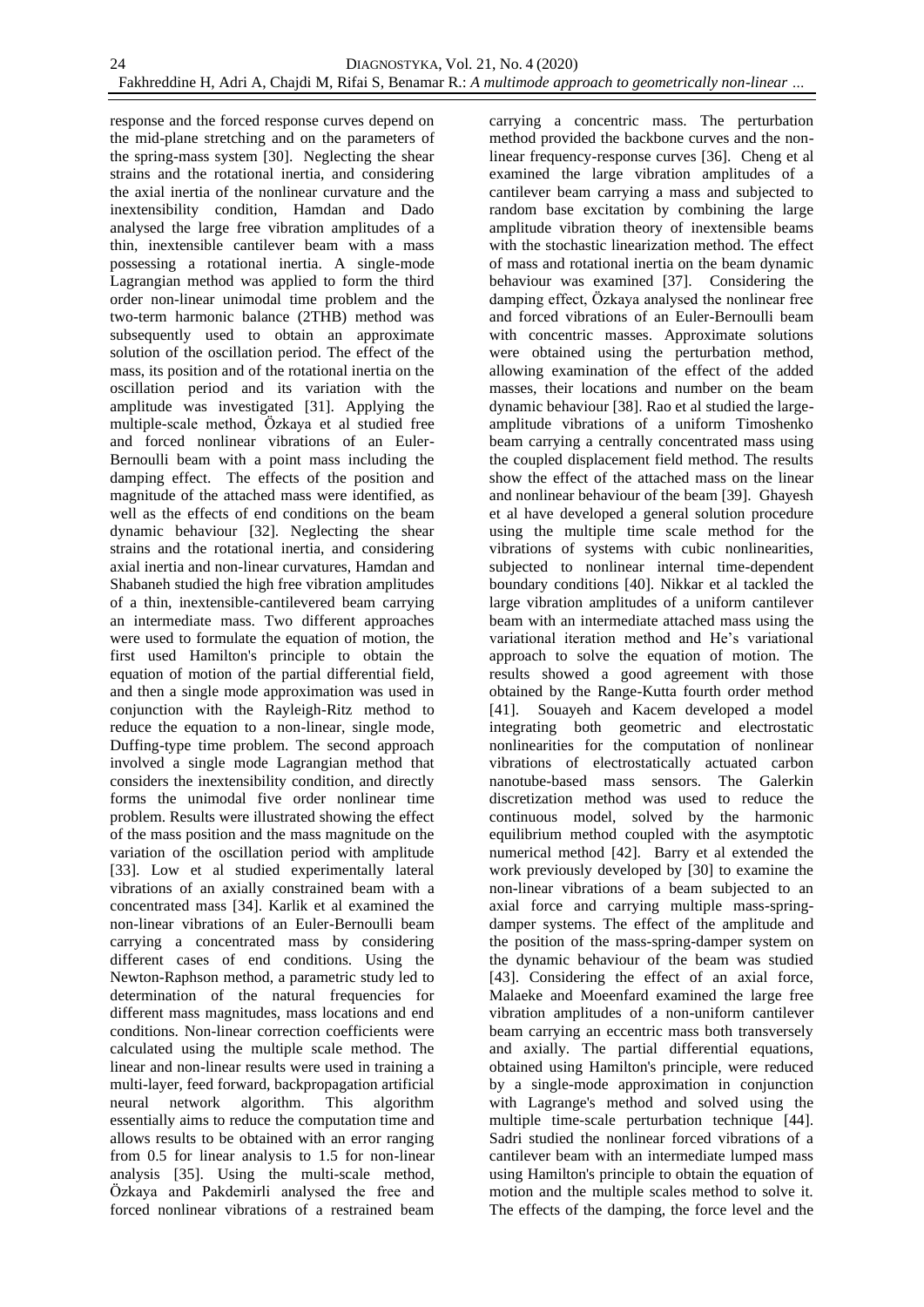response and the forced response curves depend on the mid-plane stretching and on the parameters of the spring-mass system [30]. Neglecting the shear strains and the rotational inertia, and considering the axial inertia of the nonlinear curvature and the inextensibility condition, Hamdan and Dado analysed the large free vibration amplitudes of a thin, inextensible cantilever beam with a mass possessing a rotational inertia. A single-mode Lagrangian method was applied to form the third order non-linear unimodal time problem and the two-term harmonic balance (2THB) method was subsequently used to obtain an approximate solution of the oscillation period. The effect of the mass, its position and of the rotational inertia on the oscillation period and its variation with the amplitude was investigated [31]. Applying the multiple-scale method, Özkaya et al studied free and forced nonlinear vibrations of an Euler-Bernoulli beam with a point mass including the damping effect. The effects of the position and magnitude of the attached mass were identified, as well as the effects of end conditions on the beam dynamic behaviour [32]. Neglecting the shear strains and the rotational inertia, and considering axial inertia and non-linear curvatures, Hamdan and Shabaneh studied the high free vibration amplitudes of a thin, inextensible-cantilevered beam carrying an intermediate mass. Two different approaches were used to formulate the equation of motion, the first used Hamilton's principle to obtain the equation of motion of the partial differential field, and then a single mode approximation was used in conjunction with the Rayleigh-Ritz method to reduce the equation to a non-linear, single mode, Duffing-type time problem. The second approach involved a single mode Lagrangian method that considers the inextensibility condition, and directly forms the unimodal five order nonlinear time problem. Results were illustrated showing the effect of the mass position and the mass magnitude on the variation of the oscillation period with amplitude [33]. Low et al studied experimentally lateral vibrations of an axially constrained beam with a concentrated mass [34]. Karlik et al examined the non-linear vibrations of an Euler-Bernoulli beam carrying a concentrated mass by considering different cases of end conditions. Using the Newton-Raphson method, a parametric study led to determination of the natural frequencies for different mass magnitudes, mass locations and end conditions. Non-linear correction coefficients were calculated using the multiple scale method. The linear and non-linear results were used in training a multi-layer, feed forward, backpropagation artificial neural network algorithm. This algorithm essentially aims to reduce the computation time and allows results to be obtained with an error ranging from 0.5 for linear analysis to 1.5 for non-linear analysis [35]. Using the multi-scale method, Özkaya and Pakdemirli analysed the free and forced nonlinear vibrations of a restrained beam

carrying a concentric mass. The perturbation method provided the backbone curves and the nonlinear frequency-response curves [36]. Cheng et al examined the large vibration amplitudes of a cantilever beam carrying a mass and subjected to random base excitation by combining the large amplitude vibration theory of inextensible beams with the stochastic linearization method. The effect of mass and rotational inertia on the beam dynamic behaviour was examined [37]. Considering the damping effect, Özkaya analysed the nonlinear free and forced vibrations of an Euler-Bernoulli beam with concentric masses. Approximate solutions were obtained using the perturbation method, allowing examination of the effect of the added masses, their locations and number on the beam dynamic behaviour [38]. Rao et al studied the largeamplitude vibrations of a uniform Timoshenko beam carrying a centrally concentrated mass using the coupled displacement field method. The results show the effect of the attached mass on the linear and nonlinear behaviour of the beam [39]. Ghayesh et al have developed a general solution procedure using the multiple time scale method for the vibrations of systems with cubic nonlinearities, subjected to nonlinear internal time-dependent boundary conditions [40]. Nikkar et al tackled the large vibration amplitudes of a uniform cantilever beam with an intermediate attached mass using the variational iteration method and He's variational approach to solve the equation of motion. The results showed a good agreement with those obtained by the Range-Kutta fourth order method [41]. Souayeh and Kacem developed a model integrating both geometric and electrostatic nonlinearities for the computation of nonlinear vibrations of electrostatically actuated carbon nanotube-based mass sensors. The Galerkin discretization method was used to reduce the continuous model, solved by the harmonic equilibrium method coupled with the asymptotic numerical method [42]. Barry et al extended the work previously developed by [30] to examine the non-linear vibrations of a beam subjected to an axial force and carrying multiple mass-springdamper systems. The effect of the amplitude and the position of the mass-spring-damper system on the dynamic behaviour of the beam was studied [43]. Considering the effect of an axial force, Malaeke and Moeenfard examined the large free vibration amplitudes of a non-uniform cantilever beam carrying an eccentric mass both transversely and axially. The partial differential equations, obtained using Hamilton's principle, were reduced by a single-mode approximation in conjunction with Lagrange's method and solved using the multiple time-scale perturbation technique [44]. Sadri studied the nonlinear forced vibrations of a cantilever beam with an intermediate lumped mass using Hamilton's principle to obtain the equation of motion and the multiple scales method to solve it. The effects of the damping, the force level and the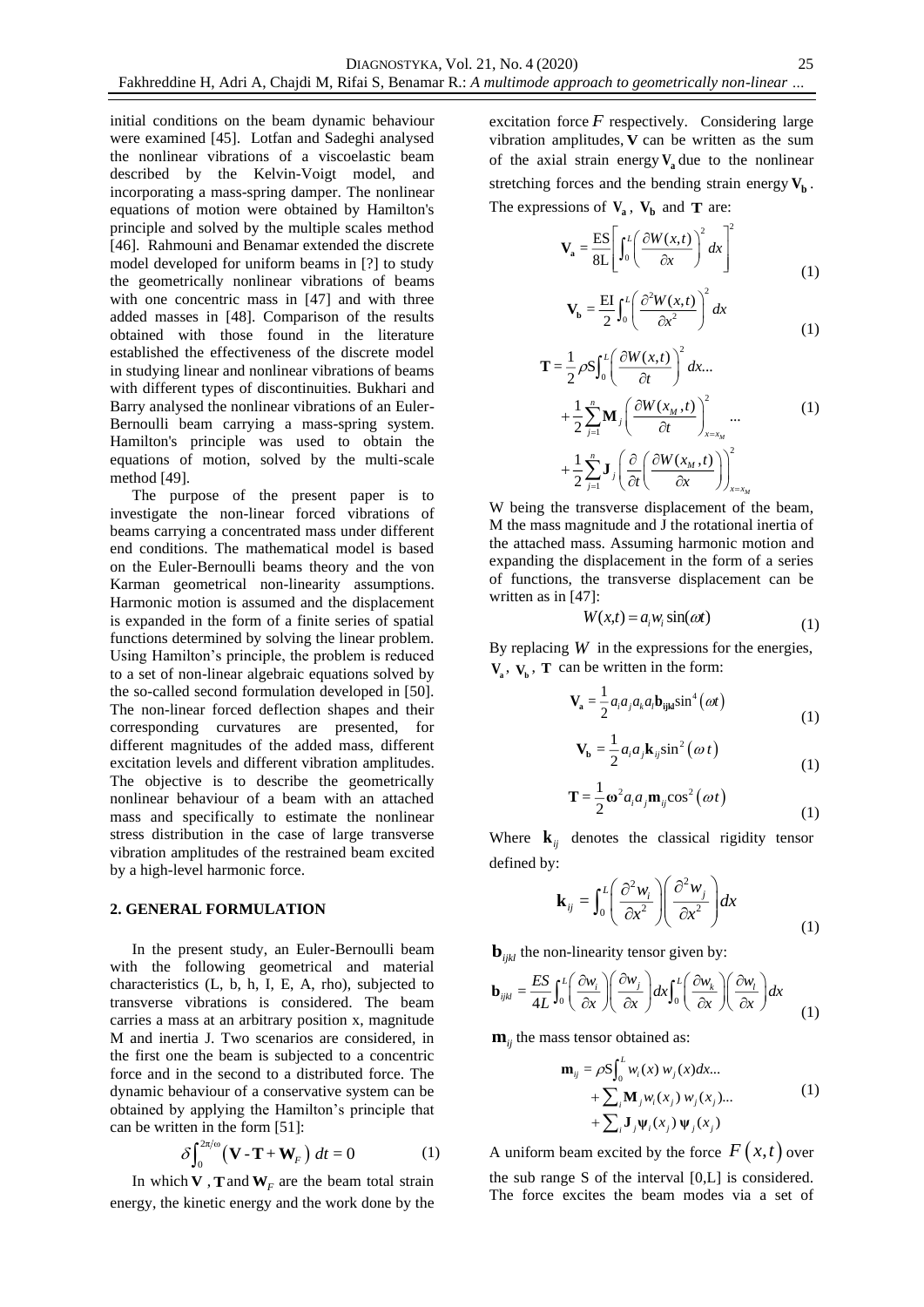initial conditions on the beam dynamic behaviour were examined [45]. Lotfan and Sadeghi analysed the nonlinear vibrations of a viscoelastic beam described by the Kelvin-Voigt model, and incorporating a mass-spring damper. The nonlinear equations of motion were obtained by Hamilton's principle and solved by the multiple scales method [46]. Rahmouni and Benamar extended the discrete model developed for uniform beams in [?] to study the geometrically nonlinear vibrations of beams with one concentric mass in [47] and with three added masses in [48]. Comparison of the results obtained with those found in the literature established the effectiveness of the discrete model in studying linear and nonlinear vibrations of beams with different types of discontinuities. Bukhari and Barry analysed the nonlinear vibrations of an Euler-Bernoulli beam carrying a mass-spring system. Hamilton's principle was used to obtain the equations of motion, solved by the multi-scale method [49].

The purpose of the present paper is to investigate the non-linear forced vibrations of beams carrying a concentrated mass under different end conditions. The mathematical model is based on the Euler-Bernoulli beams theory and the von Karman geometrical non-linearity assumptions. Harmonic motion is assumed and the displacement is expanded in the form of a finite series of spatial functions determined by solving the linear problem. Using Hamilton's principle, the problem is reduced to a set of non-linear algebraic equations solved by the so-called second formulation developed in [50]. The non-linear forced deflection shapes and their corresponding curvatures are presented, for different magnitudes of the added mass, different excitation levels and different vibration amplitudes. The objective is to describe the geometrically nonlinear behaviour of a beam with an attached mass and specifically to estimate the nonlinear stress distribution in the case of large transverse vibration amplitudes of the restrained beam excited by a high-level harmonic force.

#### **2. GENERAL FORMULATION**

In the present study, an Euler-Bernoulli beam with the following geometrical and material characteristics (L, b, h, I, E, A, rho), subjected to transverse vibrations is considered. The beam carries a mass at an arbitrary position x, magnitude M and inertia J. Two scenarios are considered, in the first one the beam is subjected to a concentric force and in the second to a distributed force. The dynamic behaviour of a conservative system can be obtained by applying the Hamilton's principle that can be written in the form [51]:

$$
\delta \int_0^{2\pi/\omega} (\mathbf{V} \cdot \mathbf{T} + \mathbf{W}_F) dt = 0 \tag{1}
$$

In which **V**, **T** and  $W_F$  are the beam total strain energy, the kinetic energy and the work done by the

excitation force  $F$  respectively. Considering large vibration amplitudes, **V** can be written as the sum of the axial strain energy  $V_a$  due to the nonlinear stretching forces and the bending strain energy  $V_b$ . The expressions of  $V_a$ ,  $V_b$  and **T** are:

$$
\mathbf{V}_{\mathbf{a}} = \frac{\text{ES}}{8L} \left[ \int_0^L \left( \frac{\partial W(x, t)}{\partial x} \right)^2 dx \right]^2
$$
\n
$$
\text{EVAL} \left( \frac{\partial^2 W(x, t)}{\partial x} \right)^2 \tag{1}
$$

$$
\mathbf{V_b} = \frac{\text{EI}}{2} \int_0^L \left( \frac{\partial^2 W(x, t)}{\partial x^2} \right)^2 dx \tag{1}
$$

$$
\mathbf{T} = \frac{1}{2} \rho S \int_0^L \left( \frac{\partial W(x,t)}{\partial t} \right)^2 dx \dots
$$
  
+ 
$$
\frac{1}{2} \sum_{j=1}^n \mathbf{M}_j \left( \frac{\partial W(x_M, t)}{\partial t} \right)_{x=x_M}^2 \dots
$$
  
+ 
$$
\frac{1}{2} \sum_{j=1}^n \mathbf{J}_j \left( \frac{\partial}{\partial t} \left( \frac{\partial W(x_M, t)}{\partial x} \right)_{x=x_M}^2 \right)
$$
 (1)

W being the transverse displacement of the beam, M the mass magnitude and J the rotational inertia of the attached mass. Assuming harmonic motion and expanding the displacement in the form of a series of functions, the transverse displacement can be written as in [47]:

$$
W(x,t) = a_i w_i \sin(\omega t)
$$
 (1)

By replacing  $W$  in the expressions for the energies,  $V_a$ ,  $V_b$ , **T** can be written in the form:

$$
\mathbf{V}_{\mathbf{a}} = \frac{1}{2} a_i a_j a_k a_l \mathbf{b}_{ijkl} \sin^4(\omega t)
$$
 (1)

$$
\mathbf{V}_{\mathbf{b}} = \frac{1}{2} a_i a_j \mathbf{k}_{ij} \sin^2(\omega t)
$$
 (1)

$$
\mathbf{T} = \frac{1}{2} \mathbf{\omega}^2 a_i a_j \mathbf{m}_{ij} \cos^2(\omega t)
$$
 (1)

Where  $\mathbf{k}_{ij}$  denotes the classical rigidity tensor defined by:

$$
\mathbf{k}_{ij} = \int_0^L \left(\frac{\partial^2 w_i}{\partial x^2}\right) \left(\frac{\partial^2 w_j}{\partial x^2}\right) dx
$$
 (1)

$$
\mathbf{b}_{ijkl} \text{ the non-linearity tensor given by:}
$$
\n
$$
\mathbf{b}_{ijkl} = \frac{ES}{4L} \int_0^L \left( \frac{\partial w_i}{\partial x} \right) \left( \frac{\partial w_j}{\partial x} \right) dx \int_0^L \left( \frac{\partial w_k}{\partial x} \right) \left( \frac{\partial w_l}{\partial x} \right) dx \tag{1}
$$

 $\mathbf{m}_{ij}$  the mass tensor obtained as:

$$
\mathbf{m}_{ij} = \rho \mathbf{S} \int_0^L w_i(x) w_j(x) dx...
$$
  
+ 
$$
\sum_i \mathbf{M}_j w_i(x_j) w_j(x_j)...
$$
  
+ 
$$
\sum_i \mathbf{J}_j \mathbf{\Psi}_i(x_j) \mathbf{\Psi}_j(x_j)
$$
 (1)

A uniform beam excited by the force  $F(x,t)$  over the sub range S of the interval [0,L] is considered. The force excites the beam modes via a set of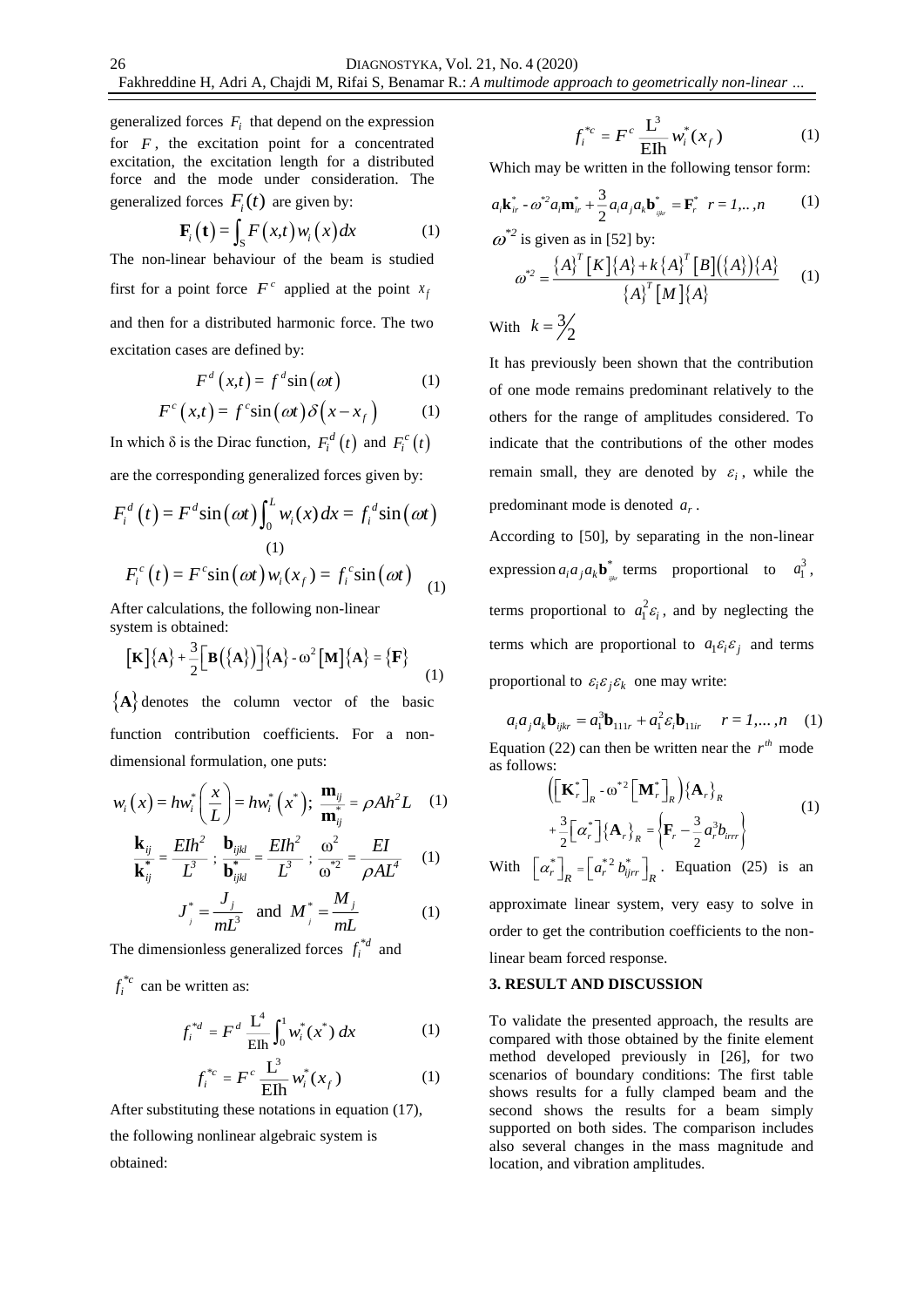generalized forces  $F_i$  that depend on the expression for  $F$ , the excitation point for a concentrated excitation, the excitation length for a distributed force and the mode under consideration. The generalized forces  $F_i(t)$  are given by:

$$
\mathbf{F}_i\big(\mathbf{t}\big) = \int_{\mathcal{S}} F\big(x, t\big) w_i\big(x\big) dx \tag{1}
$$

The non-linear behaviour of the beam is studied first for a point force  $F^c$  applied at the point  $x_f$ and then for a distributed harmonic force. The two excitation cases are defined by:

$$
F^d(x,t) = f^d \sin(\omega t) \tag{1}
$$

$$
F^{c}(x,t) = f^{c}\sin(\omega t)\delta(x-x_{f})
$$
 (1)

In which δ is the Dirac function,  $F_i^d(t)$  and  $F_i^c(t)$ 

are the corresponding generalized forces given by:

$$
F_i^d(t) = F^d \sin(\omega t) \int_0^L w_i(x) dx = f_i^d \sin(\omega t)
$$
  
(1)  

$$
F_i^c(t) = F^c \sin(\omega t) w_i(x_f) = f_i^c \sin(\omega t)
$$
  
(1)

After calculations, the following non-linear system is obtained:

stem is obtained:  
\n
$$
\begin{bmatrix} \mathbf{K} \end{bmatrix} \{ \mathbf{A} \} + \frac{3}{2} \begin{bmatrix} \mathbf{B} (\{ \mathbf{A} \}) \end{bmatrix} \{ \mathbf{A} \} - \omega^2 \begin{bmatrix} \mathbf{M} \end{bmatrix} \{ \mathbf{A} \} = \{ \mathbf{F} \}
$$
\n(1)

 ${A}$  denotes the column vector of the basic function contribution coefficients. For a nondimensional formulation, one puts:

$$
w_i(x) = hw_i^* \left(\frac{x}{L}\right) = hw_i^* \left(x^*\right); \; \frac{\mathbf{m}_{ij}}{\mathbf{m}_{ij}^*} = \rho Ah^2 L \quad (1)
$$

$$
\frac{\mathbf{k}_{ij}}{\mathbf{k}_{ij}^*} = \frac{E I h^2}{L^3} ; \frac{\mathbf{b}_{ijkl}}{\mathbf{b}_{ijkl}^*} = \frac{E I h^2}{L^3} ; \frac{\omega^2}{\omega^{*2}} = \frac{E I}{\rho A L^4} \quad (1)
$$

$$
J_j^* = \frac{J_j}{mL^3} \text{ and } M_j^* = \frac{M_j}{mL}
$$
 (1)

The dimensionless generalized forces  $f_i^{*d}$  and

 $f_i^{*c}$  can be written as:

$$
f_i^{*d} = F^d \frac{L^4}{E h} \int_0^1 w_i^*(x^*) dx \tag{1}
$$

$$
f_i^{*c} = F^c \frac{\mathbf{L}^3}{\mathbf{E} \mathbf{I} \mathbf{h}} w_i^*(x_f)
$$
 (1)

After substituting these notations in equation (17),

the following nonlinear algebraic system is obtained:

$$
f_i^{*c} = F^c \frac{\mathbf{L}^3}{\mathbf{E} \mathbf{I} \mathbf{h}} w_i^*(x_f)
$$
 (1)

Which may be written in the following tensor form:

$$
a_{i}\mathbf{k}_{ir}^{*} - \omega^{*2} a_{i}\mathbf{m}_{ir}^{*} + \frac{3}{2} a_{i} a_{j} a_{k} \mathbf{b}_{_{ijir}}^{*} = \mathbf{F}_{r}^{*} \quad r = 1, ..., n
$$
 (1)

$$
\omega^{*2}
$$
 is given as in [52] by:  

$$
\omega^{*2} = \frac{\{A\}^T [K] \{A\} + k \{A\}^T [B] (\{A\}) \{A\}}{\{A\}^T [M] \{A\}}
$$
(1)

With  $k = \frac{3}{2}$  $k = \frac{3}{2}$ 

It has previously been shown that the contribution of one mode remains predominant relatively to the others for the range of amplitudes considered. To indicate that the contributions of the other modes remain small, they are denoted by  $\varepsilon_i$ , while the predominant mode is denoted  $a_r$ .

According to [50], by separating in the non-linear expression  $a_i a_j a_k \mathbf{b}_{ijk}^*$  terms proportional to  $a_1^3$ , terms proportional to  $a_1^2 \varepsilon_i$ , and by neglecting the terms which are proportional to  $a_i \varepsilon_i \varepsilon_j$  and terms proportional to  $\varepsilon_i \varepsilon_j \varepsilon_k$  one may write:

 $a_i a_j a_k \mathbf{b}_{ijkr} = a_1^3 \mathbf{b}_{111r} + a_1^2 \varepsilon_i \mathbf{b}_{11ir}$   $r = 1,...,n$  (1) Equation (22) can then be written near the  $r<sup>th</sup>$  mode as follows:

$$
\left( \left[ \mathbf{K}_r^* \right]_R - \omega^{*2} \left[ \mathbf{M}_r^* \right]_R \right) \left\{ \mathbf{A}_r \right\}_R
$$
\n
$$
+ \frac{3}{2} \left[ \alpha_r^* \right] \left\{ \mathbf{A}_r \right\}_R = \left\{ \mathbf{F}_r - \frac{3}{2} \alpha_r^3 b_{irr} \right\}
$$
\n
$$
\left\{ \mathbf{K}_r^* \right\}_R = \left\{ \mathbf{F}_r^* - \frac{3}{2} \alpha_r^3 b_{irr} \right\} \tag{1}
$$

With  $\left[\alpha_r^*\right]_R = \left[a_r^{*2} b_{ijrr}^*\right]_R$ . Equation (25) is an

approximate linear system, very easy to solve in order to get the contribution coefficients to the nonlinear beam forced response.

### **3. RESULT AND DISCUSSION**

To validate the presented approach, the results are compared with those obtained by the finite element method developed previously in [26], for two scenarios of boundary conditions: The first table shows results for a fully clamped beam and the second shows the results for a beam simply supported on both sides. The comparison includes also several changes in the mass magnitude and location, and vibration amplitudes.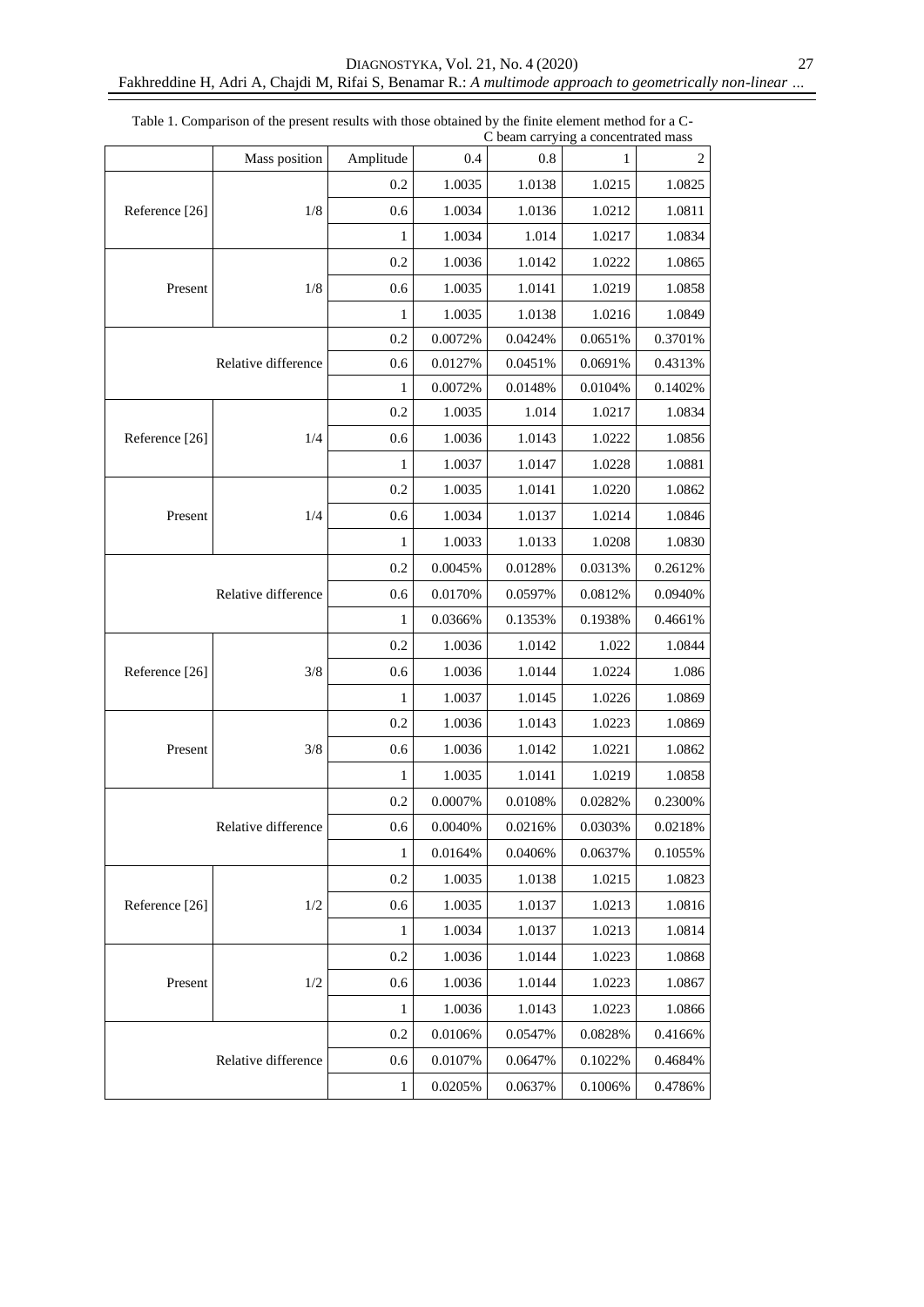|                | Mass position       | Amplitude                                       | 0.4                                                                                                                                                                                                                                                                                                                                                                                                                                                                                                                                                                                                                                                                                                                                                                                                                                                                                                             | $0.8\,$ | 1       | $\overline{c}$ |
|----------------|---------------------|-------------------------------------------------|-----------------------------------------------------------------------------------------------------------------------------------------------------------------------------------------------------------------------------------------------------------------------------------------------------------------------------------------------------------------------------------------------------------------------------------------------------------------------------------------------------------------------------------------------------------------------------------------------------------------------------------------------------------------------------------------------------------------------------------------------------------------------------------------------------------------------------------------------------------------------------------------------------------------|---------|---------|----------------|
|                |                     | 0.2                                             | 1.0035                                                                                                                                                                                                                                                                                                                                                                                                                                                                                                                                                                                                                                                                                                                                                                                                                                                                                                          | 1.0138  | 1.0215  | 1.0825         |
| Reference [26] | 1/8                 | 0.6                                             | 1.0034                                                                                                                                                                                                                                                                                                                                                                                                                                                                                                                                                                                                                                                                                                                                                                                                                                                                                                          | 1.0136  | 1.0212  | 1.0811         |
|                |                     | 1                                               | C beam carrying a concentrated mass<br>1.0034<br>1.014<br>0.2<br>1.0036<br>1.0142<br>1.0035<br>0.6<br>1.0141<br>1.0035<br>1.0138<br>1<br>$0.0072\%$<br>0.2<br>0.0424%<br>0.0127%<br>0.6<br>0.0451%<br>1<br>0.0072%<br>0.0148%<br>0.2<br>1.0035<br>1.014<br>1.0036<br>0.6<br>1.0143<br>1.0037<br>1.0147<br>1<br>0.2<br>1.0035<br>1.0141<br>1.0034<br>0.6<br>1.0137<br>1.0033<br>1.0133<br>1<br>0.2<br>0.0045%<br>0.0128%<br>0.6<br>0.0170%<br>0.0597%<br>0.0366%<br>0.1353%<br>1<br>0.2<br>1.0036<br>1.0142<br>0.6<br>1.0036<br>1.0144<br>1.0037<br>1.0145<br>1<br>0.2<br>1.0036<br>1.0143<br>0.6<br>1.0036<br>1.0142<br>1.0035<br>1.0141<br>1<br>0.2<br>0.0007%<br>0.0108%<br>$0.6\,$<br>0.0040%<br>0.0216%<br>$\mathbf{1}$<br>0.0164%<br>0.0406%<br>0.2<br>1.0035<br>1.0138<br>1.0035<br>0.6<br>1.0137<br>1.0034<br>1<br>1.0137<br>0.2<br>1.0036<br>1.0144<br>1.0036<br>0.6<br>1.0144<br>1.0036<br>1<br>1.0143 | 1.0217  | 1.0834  |                |
|                |                     |                                                 |                                                                                                                                                                                                                                                                                                                                                                                                                                                                                                                                                                                                                                                                                                                                                                                                                                                                                                                 |         | 1.0222  | 1.0865         |
| Present        | 1/8                 |                                                 |                                                                                                                                                                                                                                                                                                                                                                                                                                                                                                                                                                                                                                                                                                                                                                                                                                                                                                                 |         | 1.0219  | 1.0858         |
|                |                     |                                                 |                                                                                                                                                                                                                                                                                                                                                                                                                                                                                                                                                                                                                                                                                                                                                                                                                                                                                                                 |         | 1.0216  | 1.0849         |
|                |                     |                                                 |                                                                                                                                                                                                                                                                                                                                                                                                                                                                                                                                                                                                                                                                                                                                                                                                                                                                                                                 |         | 0.0651% | 0.3701%        |
|                | Relative difference |                                                 |                                                                                                                                                                                                                                                                                                                                                                                                                                                                                                                                                                                                                                                                                                                                                                                                                                                                                                                 |         | 0.0691% | 0.4313%        |
|                |                     |                                                 |                                                                                                                                                                                                                                                                                                                                                                                                                                                                                                                                                                                                                                                                                                                                                                                                                                                                                                                 |         | 0.0104% | 0.1402%        |
|                |                     |                                                 |                                                                                                                                                                                                                                                                                                                                                                                                                                                                                                                                                                                                                                                                                                                                                                                                                                                                                                                 |         | 1.0217  | 1.0834         |
| Reference [26] | 1/4                 |                                                 |                                                                                                                                                                                                                                                                                                                                                                                                                                                                                                                                                                                                                                                                                                                                                                                                                                                                                                                 |         | 1.0222  | 1.0856         |
|                |                     |                                                 | 0.0106%<br>0.0547%<br>0.0107%<br>0.0647%<br>0.0205%<br>0.0637%                                                                                                                                                                                                                                                                                                                                                                                                                                                                                                                                                                                                                                                                                                                                                                                                                                                  | 1.0228  | 1.0881  |                |
|                |                     |                                                 |                                                                                                                                                                                                                                                                                                                                                                                                                                                                                                                                                                                                                                                                                                                                                                                                                                                                                                                 |         | 1.0220  | 1.0862         |
| Present        | 1/4                 |                                                 |                                                                                                                                                                                                                                                                                                                                                                                                                                                                                                                                                                                                                                                                                                                                                                                                                                                                                                                 |         | 1.0214  | 1.0846         |
|                |                     |                                                 |                                                                                                                                                                                                                                                                                                                                                                                                                                                                                                                                                                                                                                                                                                                                                                                                                                                                                                                 |         | 1.0208  | 1.0830         |
|                |                     |                                                 |                                                                                                                                                                                                                                                                                                                                                                                                                                                                                                                                                                                                                                                                                                                                                                                                                                                                                                                 |         | 0.0313% | 0.2612%        |
|                | Relative difference |                                                 |                                                                                                                                                                                                                                                                                                                                                                                                                                                                                                                                                                                                                                                                                                                                                                                                                                                                                                                 |         | 0.0812% | 0.0940%        |
|                |                     |                                                 |                                                                                                                                                                                                                                                                                                                                                                                                                                                                                                                                                                                                                                                                                                                                                                                                                                                                                                                 |         | 0.1938% | 0.4661%        |
|                |                     |                                                 |                                                                                                                                                                                                                                                                                                                                                                                                                                                                                                                                                                                                                                                                                                                                                                                                                                                                                                                 |         | 1.022   | 1.0844         |
| Reference [26] | 3/8                 |                                                 |                                                                                                                                                                                                                                                                                                                                                                                                                                                                                                                                                                                                                                                                                                                                                                                                                                                                                                                 |         | 1.0224  | 1.086          |
|                |                     | 3/8<br>1/2<br>1/2<br>0.2<br>0.6<br>$\mathbf{1}$ |                                                                                                                                                                                                                                                                                                                                                                                                                                                                                                                                                                                                                                                                                                                                                                                                                                                                                                                 | 1.0226  | 1.0869  |                |
|                |                     |                                                 |                                                                                                                                                                                                                                                                                                                                                                                                                                                                                                                                                                                                                                                                                                                                                                                                                                                                                                                 |         | 1.0223  | 1.0869         |
| Present        |                     |                                                 |                                                                                                                                                                                                                                                                                                                                                                                                                                                                                                                                                                                                                                                                                                                                                                                                                                                                                                                 |         | 1.0221  | 1.0862         |
|                |                     |                                                 |                                                                                                                                                                                                                                                                                                                                                                                                                                                                                                                                                                                                                                                                                                                                                                                                                                                                                                                 |         | 1.0219  | 1.0858         |
|                |                     |                                                 |                                                                                                                                                                                                                                                                                                                                                                                                                                                                                                                                                                                                                                                                                                                                                                                                                                                                                                                 |         | 0.0282% | 0.2300%        |
|                | Relative difference |                                                 |                                                                                                                                                                                                                                                                                                                                                                                                                                                                                                                                                                                                                                                                                                                                                                                                                                                                                                                 |         | 0.0303% | 0.0218%        |
|                |                     |                                                 |                                                                                                                                                                                                                                                                                                                                                                                                                                                                                                                                                                                                                                                                                                                                                                                                                                                                                                                 |         | 0.0637% | 0.1055%        |
|                |                     |                                                 |                                                                                                                                                                                                                                                                                                                                                                                                                                                                                                                                                                                                                                                                                                                                                                                                                                                                                                                 |         | 1.0215  | 1.0823         |
| Reference [26] |                     |                                                 |                                                                                                                                                                                                                                                                                                                                                                                                                                                                                                                                                                                                                                                                                                                                                                                                                                                                                                                 |         | 1.0213  | 1.0816         |
|                |                     |                                                 |                                                                                                                                                                                                                                                                                                                                                                                                                                                                                                                                                                                                                                                                                                                                                                                                                                                                                                                 |         | 1.0213  | 1.0814         |
|                |                     |                                                 |                                                                                                                                                                                                                                                                                                                                                                                                                                                                                                                                                                                                                                                                                                                                                                                                                                                                                                                 |         | 1.0223  | 1.0868         |
| Present        |                     |                                                 |                                                                                                                                                                                                                                                                                                                                                                                                                                                                                                                                                                                                                                                                                                                                                                                                                                                                                                                 |         | 1.0223  | 1.0867         |
|                |                     |                                                 |                                                                                                                                                                                                                                                                                                                                                                                                                                                                                                                                                                                                                                                                                                                                                                                                                                                                                                                 |         | 1.0223  | 1.0866         |
|                |                     |                                                 |                                                                                                                                                                                                                                                                                                                                                                                                                                                                                                                                                                                                                                                                                                                                                                                                                                                                                                                 |         | 0.0828% | 0.4166%        |
|                | Relative difference |                                                 |                                                                                                                                                                                                                                                                                                                                                                                                                                                                                                                                                                                                                                                                                                                                                                                                                                                                                                                 |         | 0.1022% | 0.4684%        |
|                |                     |                                                 |                                                                                                                                                                                                                                                                                                                                                                                                                                                                                                                                                                                                                                                                                                                                                                                                                                                                                                                 |         | 0.1006% | 0.4786%        |

Table 1. Comparison of the present results with those obtained by the finite element method for a C-C beam carrying a concentrated mass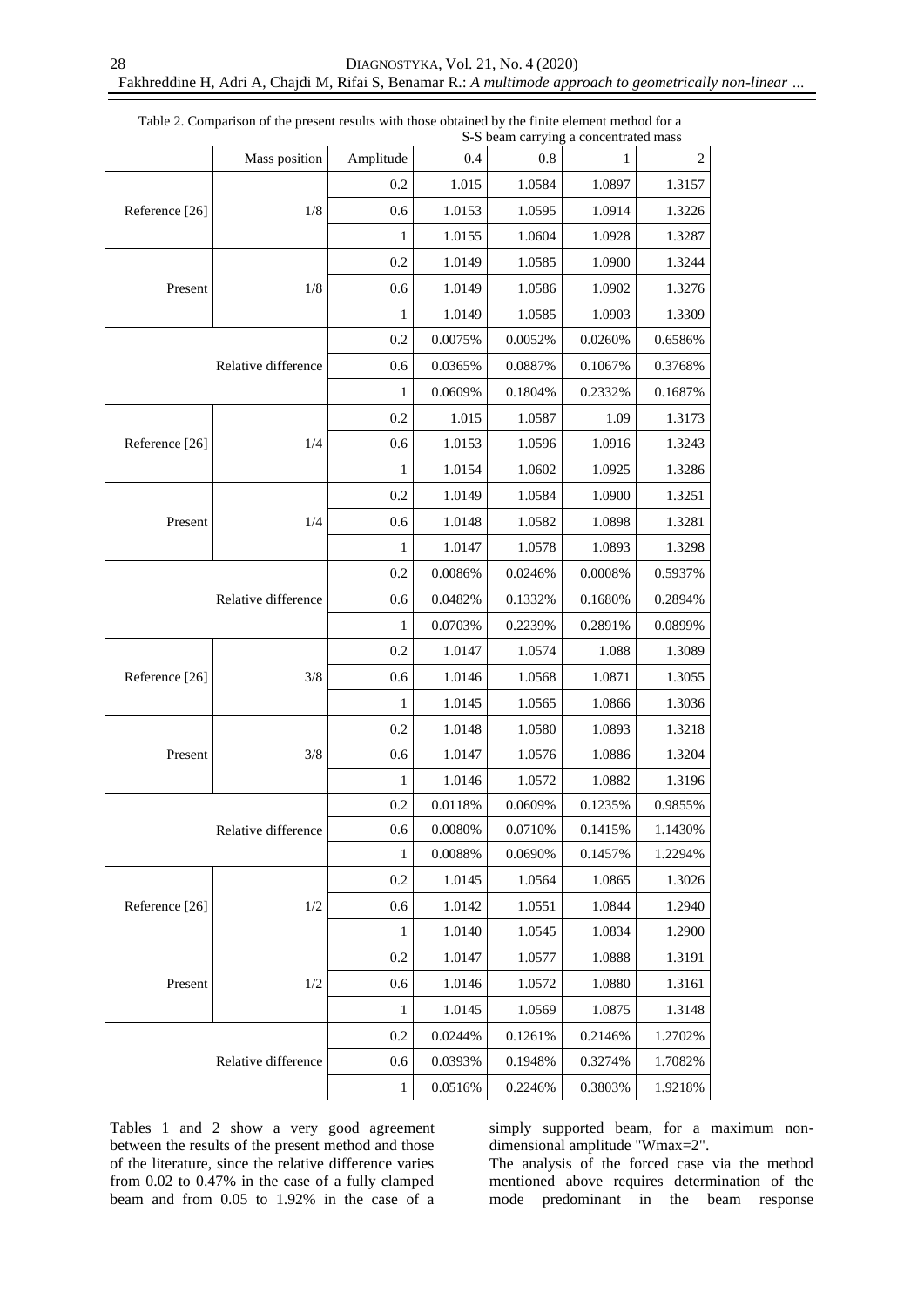|                | Mass position       | Amplitude | 0.4                                                                                                                                                                                                                                                                                                                                                                                                                                                           | 0.8     | 1       | $\sqrt{2}$ |
|----------------|---------------------|-----------|---------------------------------------------------------------------------------------------------------------------------------------------------------------------------------------------------------------------------------------------------------------------------------------------------------------------------------------------------------------------------------------------------------------------------------------------------------------|---------|---------|------------|
|                |                     | 0.2       | 1.015                                                                                                                                                                                                                                                                                                                                                                                                                                                         | 1.0584  | 1.0897  | 1.3157     |
| Reference [26] | 1/8                 | 0.6       | 1.0153                                                                                                                                                                                                                                                                                                                                                                                                                                                        | 1.0595  | 1.0914  | 1.3226     |
|                |                     | 1         | 1.0155                                                                                                                                                                                                                                                                                                                                                                                                                                                        | 1.0604  | 1.0928  | 1.3287     |
|                |                     | 0.2       | 1.0149                                                                                                                                                                                                                                                                                                                                                                                                                                                        | 1.0585  | 1.0900  | 1.3244     |
| Present        | 1/8                 | 0.6       | 1.0149                                                                                                                                                                                                                                                                                                                                                                                                                                                        | 1.0586  | 1.0902  | 1.3276     |
|                |                     | 1         | 1.0149                                                                                                                                                                                                                                                                                                                                                                                                                                                        | 1.0585  | 1.0903  | 1.3309     |
|                |                     | 0.2       | 0.0075%                                                                                                                                                                                                                                                                                                                                                                                                                                                       | 0.0052% | 0.0260% | 0.6586%    |
|                | Relative difference | 0.6       | 0.0365%                                                                                                                                                                                                                                                                                                                                                                                                                                                       | 0.0887% | 0.1067% | 0.3768%    |
|                |                     | 1         | 0.0609%                                                                                                                                                                                                                                                                                                                                                                                                                                                       | 0.1804% | 0.2332% | 0.1687%    |
|                |                     | 0.2       | 1.015                                                                                                                                                                                                                                                                                                                                                                                                                                                         | 1.0587  | 1.09    | 1.3173     |
| Reference [26] | 1/4                 | 0.6       | 1.0153                                                                                                                                                                                                                                                                                                                                                                                                                                                        | 1.0596  | 1.0916  | 1.3243     |
|                |                     | 1         | 1.0154                                                                                                                                                                                                                                                                                                                                                                                                                                                        | 1.0602  | 1.0925  | 1.3286     |
|                |                     | 0.2       | 1.0149                                                                                                                                                                                                                                                                                                                                                                                                                                                        | 1.0584  | 1.0900  | 1.3251     |
| Present        | 1/4                 | 0.6       | 1.0148                                                                                                                                                                                                                                                                                                                                                                                                                                                        | 1.0582  | 1.0898  | 1.3281     |
|                |                     | 1         | 1.0147                                                                                                                                                                                                                                                                                                                                                                                                                                                        | 1.0578  | 1.0893  | 1.3298     |
|                |                     | 0.2       | 0.0086%                                                                                                                                                                                                                                                                                                                                                                                                                                                       | 0.0246% | 0.0008% | 0.5937%    |
|                | Relative difference | 0.6       | 0.0482%                                                                                                                                                                                                                                                                                                                                                                                                                                                       | 0.1332% | 0.1680% | 0.2894%    |
|                |                     | 1         | 0.0703%                                                                                                                                                                                                                                                                                                                                                                                                                                                       | 0.2239% | 0.2891% | 0.0899%    |
|                |                     | 0.2       | 1.0147                                                                                                                                                                                                                                                                                                                                                                                                                                                        | 1.0574  | 1.088   | 1.3089     |
| Reference [26] | 3/8                 | 0.6       | 1.0146                                                                                                                                                                                                                                                                                                                                                                                                                                                        | 1.0568  | 1.0871  | 1.3055     |
|                |                     | 1         | 1.0145<br>1.0565<br>0.2<br>1.0148<br>1.0580<br>1.0147<br>0.6<br>1.0576<br>1.0146<br>1.0572<br>1<br>0.2<br>0.0118%<br>0.0609%<br>0.6<br>0.0080%<br>0.0710%<br>$\mathbf{1}$<br>0.0088%<br>0.0690%<br>0.2<br>1.0145<br>1.0564<br>0.6<br>1.0142<br>1.0551<br>1.0140<br>1<br>1.0545<br>0.2<br>1.0147<br>1.0577<br>1.0146<br>0.6<br>1.0572<br>1.0145<br>1.0569<br>1<br>0.2<br>0.0244%<br>0.1261%<br>0.1948%<br>0.6<br>0.0393%<br>$\mathbf{1}$<br>0.0516%<br>0.2246% | 1.0866  | 1.3036  |            |
|                |                     |           |                                                                                                                                                                                                                                                                                                                                                                                                                                                               |         | 1.0893  | 1.3218     |
| Present        | 3/8                 |           |                                                                                                                                                                                                                                                                                                                                                                                                                                                               |         | 1.0886  | 1.3204     |
|                |                     |           |                                                                                                                                                                                                                                                                                                                                                                                                                                                               |         | 1.0882  | 1.3196     |
|                |                     |           |                                                                                                                                                                                                                                                                                                                                                                                                                                                               |         | 0.1235% | 0.9855%    |
|                | Relative difference |           |                                                                                                                                                                                                                                                                                                                                                                                                                                                               |         | 0.1415% | 1.1430%    |
|                |                     |           |                                                                                                                                                                                                                                                                                                                                                                                                                                                               |         | 0.1457% | 1.2294%    |
|                |                     |           |                                                                                                                                                                                                                                                                                                                                                                                                                                                               |         | 1.0865  | 1.3026     |
| Reference [26] | 1/2                 |           |                                                                                                                                                                                                                                                                                                                                                                                                                                                               |         | 1.0844  | 1.2940     |
|                |                     |           |                                                                                                                                                                                                                                                                                                                                                                                                                                                               |         | 1.0834  | 1.2900     |
|                |                     |           |                                                                                                                                                                                                                                                                                                                                                                                                                                                               |         | 1.0888  | 1.3191     |
| Present        | 1/2                 |           |                                                                                                                                                                                                                                                                                                                                                                                                                                                               |         | 1.0880  | 1.3161     |
|                |                     |           |                                                                                                                                                                                                                                                                                                                                                                                                                                                               |         | 1.0875  | 1.3148     |
|                |                     |           |                                                                                                                                                                                                                                                                                                                                                                                                                                                               |         | 0.2146% | 1.2702%    |
|                | Relative difference |           |                                                                                                                                                                                                                                                                                                                                                                                                                                                               |         | 0.3274% | 1.7082%    |
|                |                     |           |                                                                                                                                                                                                                                                                                                                                                                                                                                                               |         | 0.3803% | 1.9218%    |

Table 2. Comparison of the present results with those obtained by the finite element method for a S-S beam carrying a concentrated mass

Tables 1 and 2 show a very good agreement between the results of the present method and those of the literature, since the relative difference varies from 0.02 to 0.47% in the case of a fully clamped beam and from 0.05 to 1.92% in the case of a simply supported beam, for a maximum nondimensional amplitude "Wmax=2".

The analysis of the forced case via the method mentioned above requires determination of the mode predominant in the beam response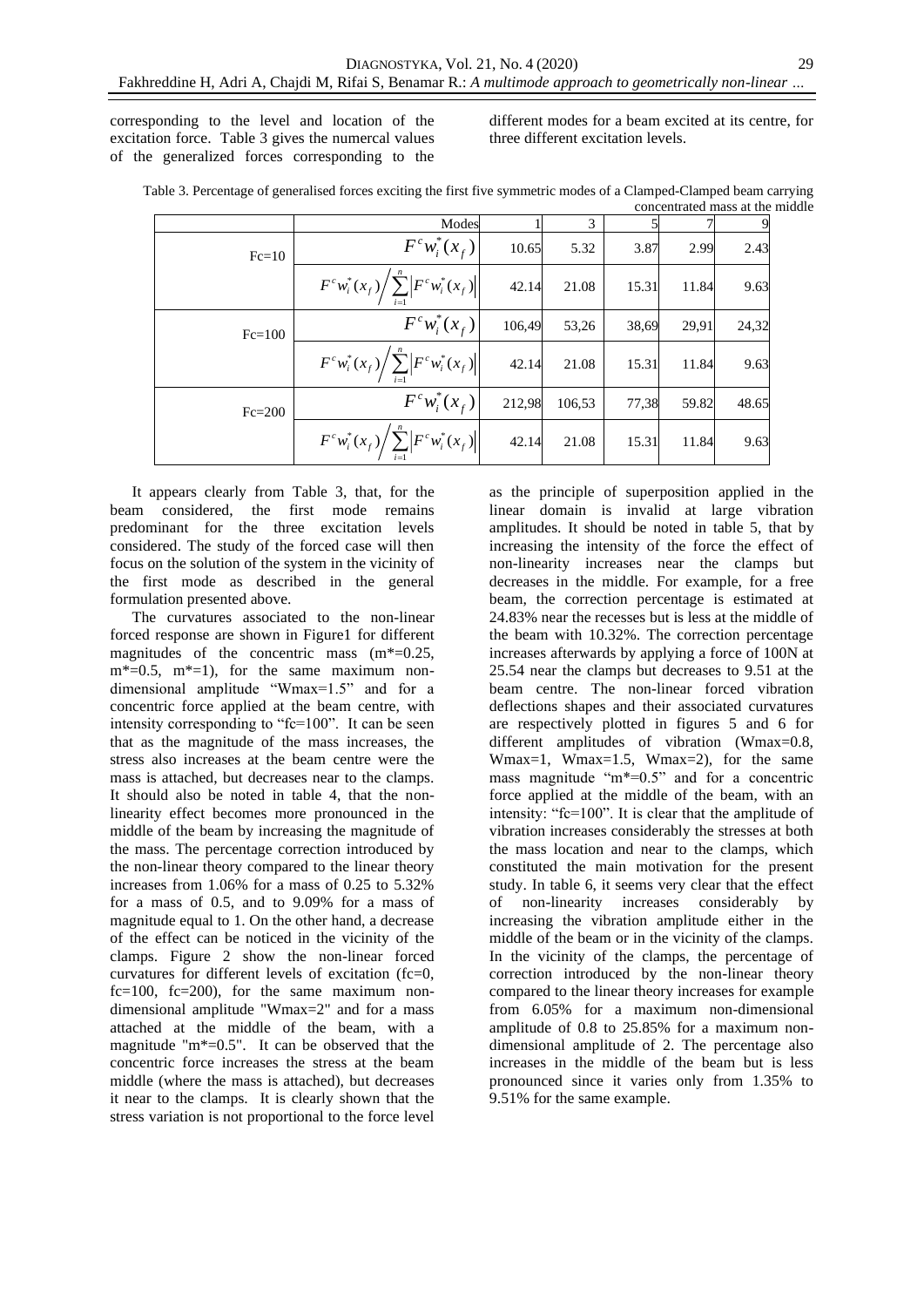corresponding to the level and location of the excitation force. Table 3 gives the numercal values of the generalized forces corresponding to the

different modes for a beam excited at its centre, for three different excitation levels.

| Table 3. Percentage of generalised forces exciting the first five symmetric modes of a Clamped-Clamped beam carrying |
|----------------------------------------------------------------------------------------------------------------------|
| concentrated mass at the middle                                                                                      |

|          | Modes                                                                            |        | 3      |       |       |       |
|----------|----------------------------------------------------------------------------------|--------|--------|-------|-------|-------|
| $Fc=10$  | $F^c w_i^*(x_f)$                                                                 | 10.65  | 5.32   | 3.87  | 2.99  | 2.43  |
|          | $\left  F^c w_i^*(x_f) \right  \sum_{i=1}^n \left  F^c w_i^*(x_f) \right $       | 42.14  | 21.08  | 15.31 | 11.84 | 9.63  |
| $Fc=100$ | $F^c w_i^*(x_f)$                                                                 | 106,49 | 53,26  | 38,69 | 29,91 | 24,32 |
|          | $F^{c}w_{i}^{*}(x_{f})\bigg \sum_{i}^{n}\bigg F^{c}w_{i}^{*}(x_{f})\bigg \bigg $ | 42.14  | 21.08  | 15.31 | 11.84 | 9.63  |
| $Fc=200$ | $F^{c}w_{i}^{*}(x_{f})$                                                          | 212,98 | 106,53 | 77,38 | 59.82 | 48.65 |
|          | $F^{c}w_{i}^{*}(x_{f})\bigg/\sum_{i=1}^{n}\bigg F^{c}w_{i}^{*}(x_{f})\bigg $     | 42.14  | 21.08  | 15.31 | 11.84 | 9.63  |

It appears clearly from Table 3, that, for the beam considered, the first mode remains predominant for the three excitation levels considered. The study of the forced case will then focus on the solution of the system in the vicinity of the first mode as described in the general formulation presented above.

The curvatures associated to the non-linear forced response are shown in Figure1 for different magnitudes of the concentric mass  $(m^*=0.25,$  $m^*=0.5$ ,  $m^*=1$ ), for the same maximum nondimensional amplitude "Wmax=1.5" and for a concentric force applied at the beam centre, with intensity corresponding to "fc=100". It can be seen that as the magnitude of the mass increases, the stress also increases at the beam centre were the mass is attached, but decreases near to the clamps. It should also be noted in table 4, that the nonlinearity effect becomes more pronounced in the middle of the beam by increasing the magnitude of the mass. The percentage correction introduced by the non-linear theory compared to the linear theory increases from 1.06% for a mass of 0.25 to 5.32% for a mass of 0.5, and to 9.09% for a mass of magnitude equal to 1. On the other hand, a decrease of the effect can be noticed in the vicinity of the clamps. Figure 2 show the non-linear forced curvatures for different levels of excitation (fc=0,  $fc=100$ ,  $fc=200$ ), for the same maximum nondimensional amplitude "Wmax=2" and for a mass attached at the middle of the beam, with a magnitude "m\*=0.5". It can be observed that the concentric force increases the stress at the beam middle (where the mass is attached), but decreases it near to the clamps. It is clearly shown that the stress variation is not proportional to the force level

as the principle of superposition applied in the linear domain is invalid at large vibration amplitudes. It should be noted in table 5, that by increasing the intensity of the force the effect of non-linearity increases near the clamps but decreases in the middle. For example, for a free beam, the correction percentage is estimated at 24.83% near the recesses but is less at the middle of the beam with 10.32%. The correction percentage increases afterwards by applying a force of 100N at 25.54 near the clamps but decreases to 9.51 at the beam centre. The non-linear forced vibration deflections shapes and their associated curvatures are respectively plotted in figures 5 and 6 for different amplitudes of vibration (Wmax=0.8, Wmax=1, Wmax=1.5, Wmax=2), for the same mass magnitude "m\*=0.5" and for a concentric force applied at the middle of the beam, with an intensity: "fc=100". It is clear that the amplitude of vibration increases considerably the stresses at both the mass location and near to the clamps, which constituted the main motivation for the present study. In table 6, it seems very clear that the effect of non-linearity increases considerably by increasing the vibration amplitude either in the middle of the beam or in the vicinity of the clamps. In the vicinity of the clamps, the percentage of correction introduced by the non-linear theory compared to the linear theory increases for example from 6.05% for a maximum non-dimensional amplitude of 0.8 to 25.85% for a maximum nondimensional amplitude of 2. The percentage also increases in the middle of the beam but is less pronounced since it varies only from 1.35% to 9.51% for the same example.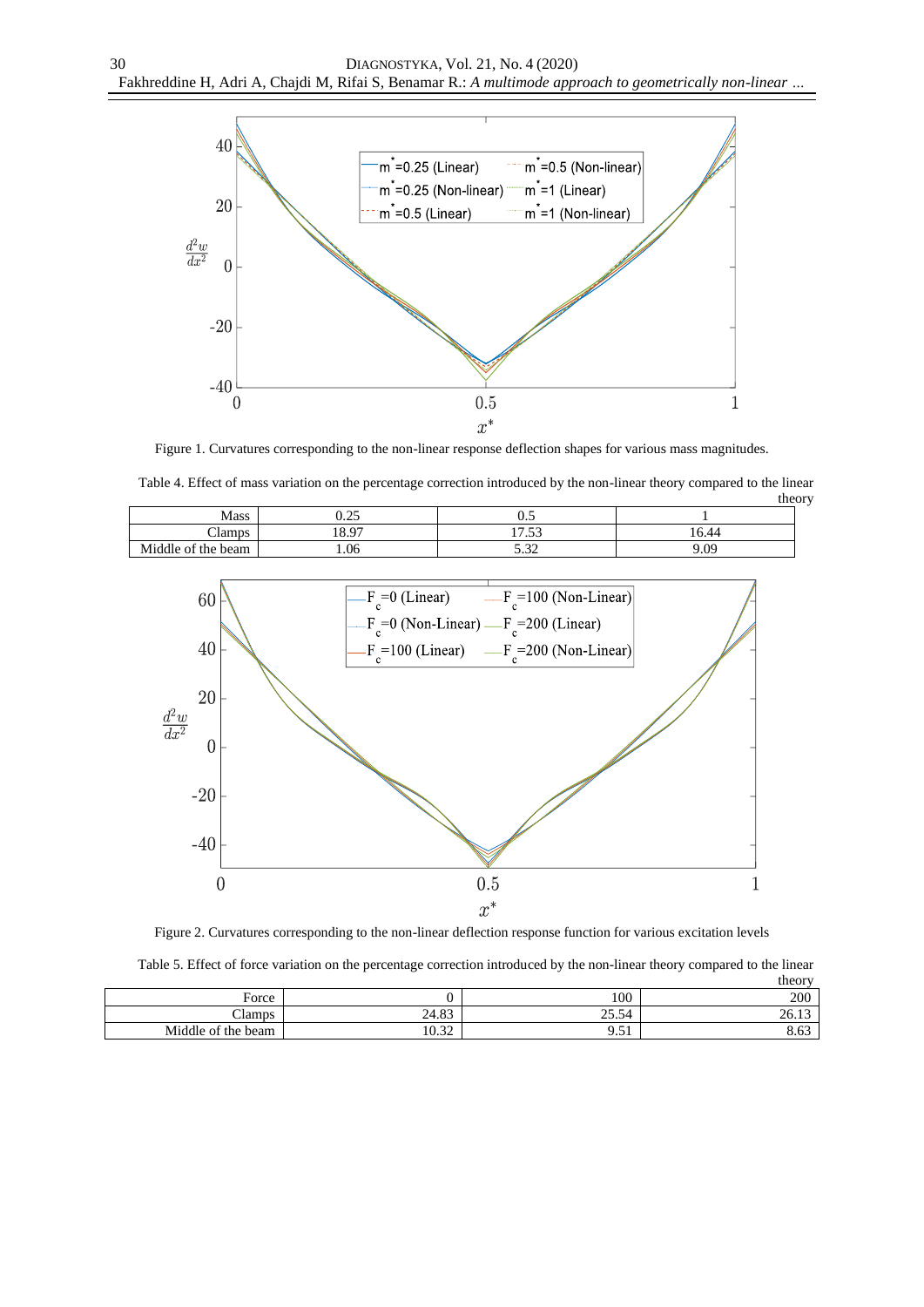

Figure 1. Curvatures corresponding to the non-linear response deflection shapes for various mass magnitudes.

| Table 4. Effect of mass variation on the percentage correction introduced by the non-linear theory compared to the linear |      |       |        |  |  |
|---------------------------------------------------------------------------------------------------------------------------|------|-------|--------|--|--|
|                                                                                                                           |      |       | theory |  |  |
| <b>Mass</b>                                                                                                               | 0.25 |       |        |  |  |
| Clamps                                                                                                                    | 8.97 | 17.53 | 16.44  |  |  |
| Middle of the beam                                                                                                        | .06  | -20   | 9.09   |  |  |



Figure 2. Curvatures corresponding to the non-linear deflection response function for various excitation levels

|  | Table 5. Effect of force variation on the percentage correction introduced by the non-linear theory compared to the linear |  |  |  |        |
|--|----------------------------------------------------------------------------------------------------------------------------|--|--|--|--------|
|  |                                                                                                                            |  |  |  | theory |

|                       |                              |                                        | $\cdots$ |
|-----------------------|------------------------------|----------------------------------------|----------|
| Force                 |                              | 100                                    | 200      |
| Clamps                | $. \circ$<br>24.83           | $\sim$<br>$\cap \subset$<br>۰<br>⊢ر.ر∠ | 20.1     |
| Middle of the<br>beam | $\sim$<br>$\Omega$<br>1 U.J. | $\sim$ $\sim$<br>، ب                   | 0.UJ     |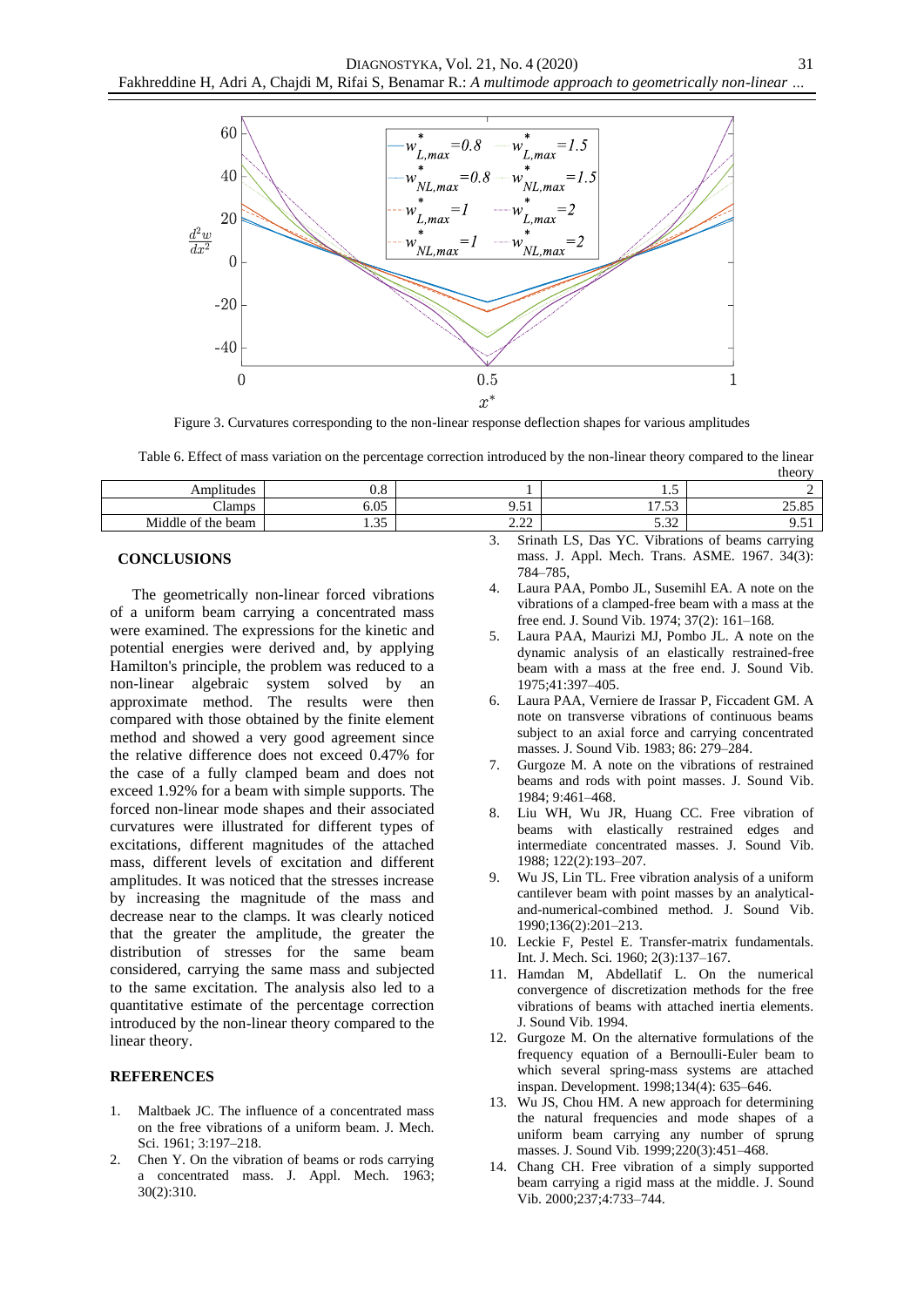

Figure 3. Curvatures corresponding to the non-linear response deflection shapes for various amplitudes

Table 6. Effect of mass variation on the percentage correction introduced by the non-linear theory compared to the linear

|                    |                       |                   |                               | theory     |
|--------------------|-----------------------|-------------------|-------------------------------|------------|
| Amplitudes         | റ റ<br>U.ŏ            |                   | ن د                           |            |
| Clamps             | 6.05                  | 9.51<br>ີ         | $\sim$<br>$\sqrt{ }$<br>11.JJ | 25.85      |
| Middle of the beam | $\sim$ $\sim$<br>1.JJ | $\Omega$<br>ے ۔ ۔ | 0 7 7<br>ے د                  | <i>,.,</i> |
|                    |                       | $\sim$            | $C = 1$ $R = 1$ $R = 1$       | $\sim$ 1   |

# **CONCLUSIONS**

The geometrically non-linear forced vibrations of a uniform beam carrying a concentrated mass were examined. The expressions for the kinetic and potential energies were derived and, by applying Hamilton's principle, the problem was reduced to a non-linear algebraic system solved by an approximate method. The results were then compared with those obtained by the finite element method and showed a very good agreement since the relative difference does not exceed 0.47% for the case of a fully clamped beam and does not exceed 1.92% for a beam with simple supports. The forced non-linear mode shapes and their associated curvatures were illustrated for different types of excitations, different magnitudes of the attached mass, different levels of excitation and different amplitudes. It was noticed that the stresses increase by increasing the magnitude of the mass and decrease near to the clamps. It was clearly noticed that the greater the amplitude, the greater the distribution of stresses for the same beam considered, carrying the same mass and subjected to the same excitation. The analysis also led to a quantitative estimate of the percentage correction introduced by the non-linear theory compared to the linear theory.

# **REFERENCES**

- 1. Maltbaek JC. The influence of a concentrated mass on the free vibrations of a uniform beam. J. Mech. Sci. 1961; 3:197–218.
- 2. Chen Y. On the vibration of beams or rods carrying a concentrated mass. J. Appl. Mech. 1963; 30(2):310.
- 3. Srinath LS, Das YC. Vibrations of beams carrying mass. J. Appl. Mech. Trans. ASME. 1967. 34(3): 784–785,
- 4. Laura PAA, Pombo JL, Susemihl EA. A note on the vibrations of a clamped-free beam with a mass at the free end. J. Sound Vib. 1974; 37(2): 161–168.
- 5. Laura PAA, Maurizi MJ, Pombo JL. A note on the dynamic analysis of an elastically restrained-free beam with a mass at the free end. J. Sound Vib. 1975;41:397–405.
- 6. Laura PAA, Verniere de Irassar P, Ficcadent GM. A note on transverse vibrations of continuous beams subject to an axial force and carrying concentrated masses. J. Sound Vib. 1983; 86: 279–284.
- 7. Gurgoze M. A note on the vibrations of restrained beams and rods with point masses. J. Sound Vib. 1984; 9:461–468.
- 8. Liu WH, Wu JR, Huang CC. Free vibration of beams with elastically restrained edges and intermediate concentrated masses. J. Sound Vib. 1988; 122(2):193–207.
- 9. Wu JS, Lin TL. Free vibration analysis of a uniform cantilever beam with point masses by an analyticaland-numerical-combined method. J. Sound Vib. 1990;136(2):201–213.
- 10. Leckie F, Pestel E. Transfer-matrix fundamentals. Int. J. Mech. Sci. 1960; 2(3):137–167.
- 11. Hamdan M, Abdellatif L. On the numerical convergence of discretization methods for the free vibrations of beams with attached inertia elements. J. Sound Vib. 1994.
- 12. Gurgoze M. On the alternative formulations of the frequency equation of a Bernoulli-Euler beam to which several spring-mass systems are attached inspan. Development. 1998;134(4): 635–646.
- 13. Wu JS, Chou HM. A new approach for determining the natural frequencies and mode shapes of a uniform beam carrying any number of sprung masses. J. Sound Vib. 1999;220(3):451–468.
- 14. Chang CH. Free vibration of a simply supported beam carrying a rigid mass at the middle. J. Sound Vib. 2000;237;4:733–744.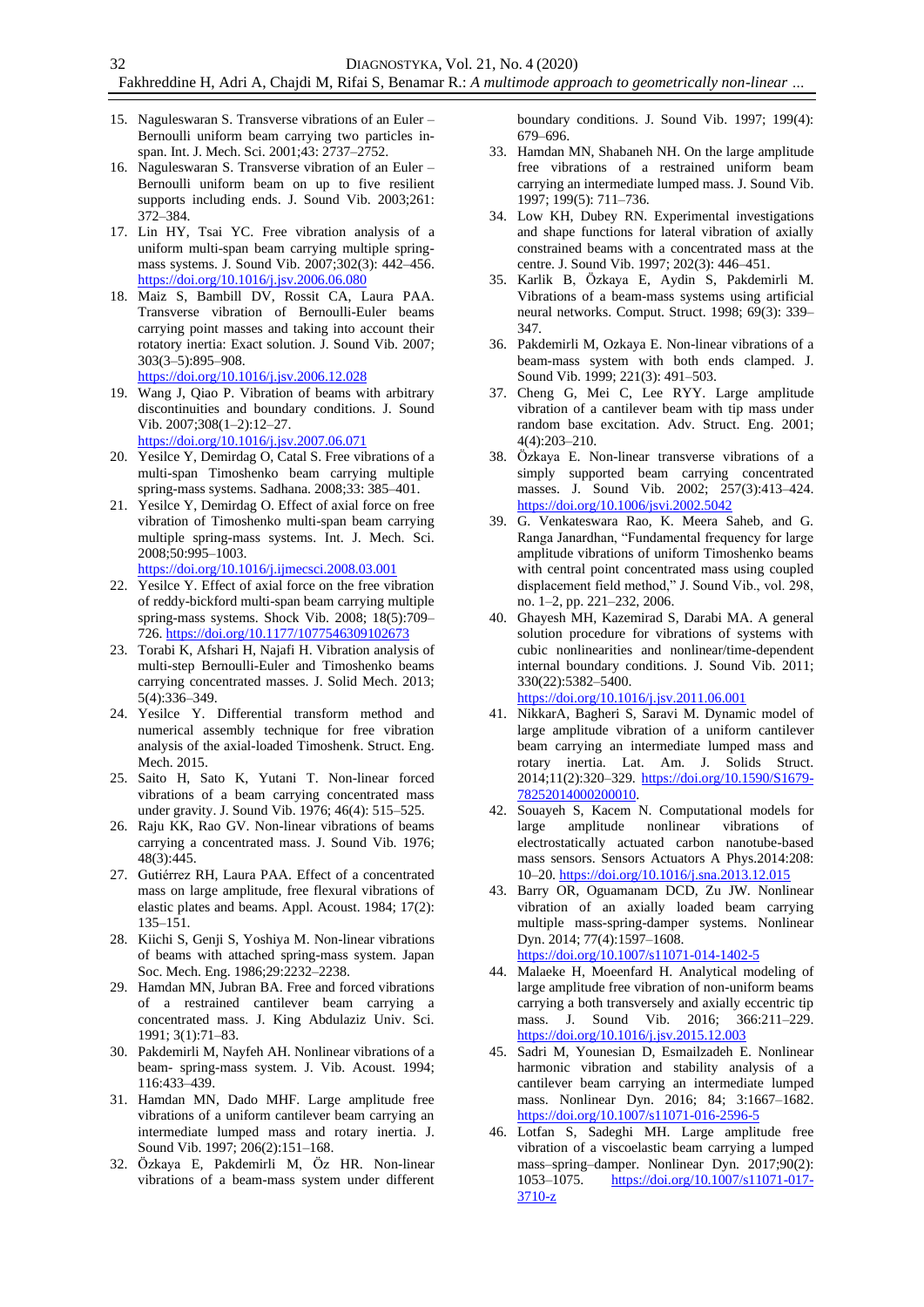- 15. Naguleswaran S. Transverse vibrations of an Euler Bernoulli uniform beam carrying two particles inspan. Int. J. Mech. Sci. 2001;43: 2737–2752.
- 16. Naguleswaran S. Transverse vibration of an Euler Bernoulli uniform beam on up to five resilient supports including ends. J. Sound Vib. 2003;261: 372–384.
- 17. Lin HY, Tsai YC. Free vibration analysis of a uniform multi-span beam carrying multiple springmass systems. J. Sound Vib. 2007;302(3): 442–456. <https://doi.org/10.1016/j.jsv.2006.06.080>
- 18. Maiz S, Bambill DV, Rossit CA, Laura PAA. Transverse vibration of Bernoulli-Euler beams carrying point masses and taking into account their rotatory inertia: Exact solution. J. Sound Vib. 2007; 303(3–5):895–908.
- <https://doi.org/10.1016/j.jsv.2006.12.028> 19. Wang J, Qiao P. Vibration of beams with arbitrary
- discontinuities and boundary conditions. J. Sound Vib. 2007;308(1–2):12–27. <https://doi.org/10.1016/j.jsv.2007.06.071>
- 20. Yesilce Y, Demirdag O, Catal S. Free vibrations of a
- multi-span Timoshenko beam carrying multiple spring-mass systems. Sadhana. 2008;33: 385–401. 21. Yesilce Y, Demirdag O. Effect of axial force on free
- vibration of Timoshenko multi-span beam carrying multiple spring-mass systems. Int. J. Mech. Sci. 2008;50:995–1003. <https://doi.org/10.1016/j.ijmecsci.2008.03.001>
- 22. Yesilce Y. Effect of axial force on the free vibration of reddy-bickford multi-span beam carrying multiple spring-mass systems. Shock Vib. 2008; 18(5):709– 726.<https://doi.org/10.1177/1077546309102673>
- 23. Torabi K, Afshari H, Najafi H. Vibration analysis of multi-step Bernoulli-Euler and Timoshenko beams carrying concentrated masses. J. Solid Mech. 2013; 5(4):336–349.
- 24. Yesilce Y. Differential transform method and numerical assembly technique for free vibration analysis of the axial-loaded Timoshenk. Struct. Eng. Mech. 2015.
- 25. Saito H, Sato K, Yutani T. Non-linear forced vibrations of a beam carrying concentrated mass under gravity. J. Sound Vib. 1976; 46(4): 515–525.
- 26. Raju KK, Rao GV. Non-linear vibrations of beams carrying a concentrated mass. J. Sound Vib. 1976; 48(3):445.
- 27. Gutiérrez RH, Laura PAA. Effect of a concentrated mass on large amplitude, free flexural vibrations of elastic plates and beams. Appl. Acoust. 1984; 17(2): 135–151.
- 28. Kiichi S, Genji S, Yoshiya M. Non-linear vibrations of beams with attached spring-mass system. Japan Soc. Mech. Eng. 1986;29:2232–2238.
- 29. Hamdan MN, Jubran BA. Free and forced vibrations of a restrained cantilever beam carrying a concentrated mass. J. King Abdulaziz Univ. Sci. 1991; 3(1):71–83.
- 30. Pakdemirli M, Nayfeh AH. Nonlinear vibrations of a beam- spring-mass system. J. Vib. Acoust. 1994; 116:433–439.
- 31. Hamdan MN, Dado MHF. Large amplitude free vibrations of a uniform cantilever beam carrying an intermediate lumped mass and rotary inertia. J. Sound Vib. 1997; 206(2):151–168.
- 32. Özkaya E, Pakdemirli M, Öz HR. Non-linear vibrations of a beam-mass system under different

boundary conditions. J. Sound Vib. 1997; 199(4): 679–696.

- 33. Hamdan MN, Shabaneh NH. On the large amplitude free vibrations of a restrained uniform beam carrying an intermediate lumped mass. J. Sound Vib. 1997; 199(5): 711–736.
- 34. Low KH, Dubey RN. Experimental investigations and shape functions for lateral vibration of axially constrained beams with a concentrated mass at the centre. J. Sound Vib. 1997; 202(3): 446–451.
- 35. Karlik B, Özkaya E, Aydin S, Pakdemirli M. Vibrations of a beam-mass systems using artificial neural networks. Comput. Struct. 1998; 69(3): 339– 347.
- 36. Pakdemirli M, Ozkaya E. Non-linear vibrations of a beam-mass system with both ends clamped. J. Sound Vib. 1999; 221(3): 491–503.
- 37. Cheng G, Mei C, Lee RYY. Large amplitude vibration of a cantilever beam with tip mass under random base excitation. Adv. Struct. Eng. 2001;  $4(4) \cdot 203 - 210$
- 38. Özkaya E. Non-linear transverse vibrations of a simply supported beam carrying concentrated masses. J. Sound Vib. 2002; 257(3):413–424. <https://doi.org/10.1006/jsvi.2002.5042>
- 39. G. Venkateswara Rao, K. Meera Saheb, and G. Ranga Janardhan, "Fundamental frequency for large amplitude vibrations of uniform Timoshenko beams with central point concentrated mass using coupled displacement field method," J. Sound Vib., vol. 298, no. 1–2, pp. 221–232, 2006.
- 40. Ghayesh MH, Kazemirad S, Darabi MA. A general solution procedure for vibrations of systems with cubic nonlinearities and nonlinear/time-dependent internal boundary conditions. J. Sound Vib. 2011; 330(22):5382–5400. <https://doi.org/10.1016/j.jsv.2011.06.001>
- 41. NikkarA, Bagheri S, Saravi M. Dynamic model of large amplitude vibration of a uniform cantilever beam carrying an intermediate lumped mass and
- rotary inertia. Lat. Am. J. Solids Struct. 2014;11(2):320–329. [https://doi.org/10.1590/S1679-](https://doi.org/10.1590/S1679-78252014000200010) [78252014000200010.](https://doi.org/10.1590/S1679-78252014000200010)
- 42. Souayeh S, Kacem N. Computational models for large amplitude nonlinear vibrations of electrostatically actuated carbon nanotube-based mass sensors. Sensors Actuators A Phys.2014:208: 10–20. <https://doi.org/10.1016/j.sna.2013.12.015>
- 43. Barry OR, Oguamanam DCD, Zu JW. Nonlinear vibration of an axially loaded beam carrying multiple mass-spring-damper systems. Nonlinear Dyn. 2014; 77(4):1597–1608. <https://doi.org/10.1007/s11071-014-1402-5>
- 44. Malaeke H, Moeenfard H. Analytical modeling of large amplitude free vibration of non-uniform beams carrying a both transversely and axially eccentric tip mass. J. Sound Vib. 2016; 366:211–229. <https://doi.org/10.1016/j.jsv.2015.12.003>
- 45. Sadri M, Younesian D, Esmailzadeh E. Nonlinear harmonic vibration and stability analysis of a cantilever beam carrying an intermediate lumped mass. Nonlinear Dyn. 2016; 84; 3:1667–1682. <https://doi.org/10.1007/s11071-016-2596-5>
- 46. Lotfan S, Sadeghi MH. Large amplitude free vibration of a viscoelastic beam carrying a lumped mass–spring–damper. Nonlinear Dyn. 2017;90(2): 1053–1075. [https://doi.org/10.1007/s11071-017-](https://doi.org/10.1007/s11071-017-3710-z) [3710-z](https://doi.org/10.1007/s11071-017-3710-z)